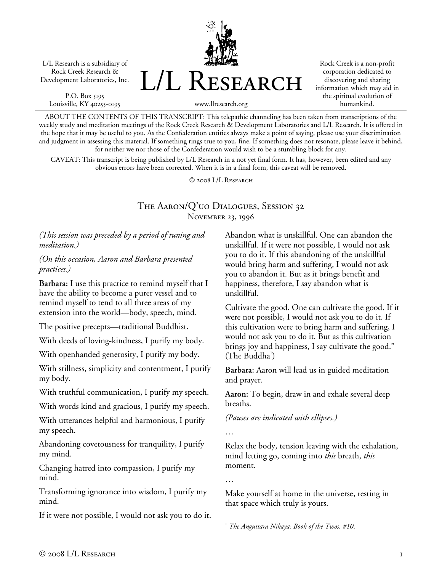L/L Research is a subsidiary of Rock Creek Research & Development Laboratories, Inc.

P.O. Box 5195 Louisville, KY 40255-0195 L/L Research

Rock Creek is a non-profit corporation dedicated to discovering and sharing information which may aid in the spiritual evolution of humankind.

www.llresearch.org

ABOUT THE CONTENTS OF THIS TRANSCRIPT: This telepathic channeling has been taken from transcriptions of the weekly study and meditation meetings of the Rock Creek Research & Development Laboratories and L/L Research. It is offered in the hope that it may be useful to you. As the Confederation entities always make a point of saying, please use your discrimination and judgment in assessing this material. If something rings true to you, fine. If something does not resonate, please leave it behind, for neither we nor those of the Confederation would wish to be a stumbling block for any.

CAVEAT: This transcript is being published by L/L Research in a not yet final form. It has, however, been edited and any obvious errors have been corrected. When it is in a final form, this caveat will be removed.

© 2008 L/L Research

## The Aaron/Q'uo Dialogues, Session 32 November 23, 1996

*(This session was preceded by a period of tuning and meditation.)* 

*(On this occasion, Aaron and Barbara presented practices.)* 

**Barbara:** I use this practice to remind myself that I have the ability to become a purer vessel and to remind myself to tend to all three areas of my extension into the world—body, speech, mind.

The positive precepts—traditional Buddhist.

With deeds of loving-kindness, I purify my body.

With openhanded generosity, I purify my body.

With stillness, simplicity and contentment, I purify my body.

With truthful communication, I purify my speech.

With words kind and gracious, I purify my speech.

With utterances helpful and harmonious, I purify my speech.

Abandoning covetousness for tranquility, I purify my mind.

Changing hatred into compassion, I purify my mind.

Transforming ignorance into wisdom, I purify my mind.

If it were not possible, I would not ask you to do it.

Abandon what is unskillful. One can abandon the unskillful. If it were not possible, I would not ask you to do it. If this abandoning of the unskillful would bring harm and suffering, I would not ask you to abandon it. But as it brings benefit and happiness, therefore, I say abandon what is unskillful.

Cultivate the good. One can cultivate the good. If it were not possible, I would not ask you to do it. If this cultivation were to bring harm and suffering, I would not ask you to do it. But as this cultivation brings joy and happiness, I say cultivate the good." (The Buddha<sup>1</sup>)

**Barbara:** Aaron will lead us in guided meditation and prayer.

**Aaron:** To begin, draw in and exhale several deep breaths.

*(Pauses are indicated with ellipses.)* 

…

Relax the body, tension leaving with the exhalation, mind letting go, coming into *this* breath, *this*  moment.

…

Make yourself at home in the universe, resting in that space which truly is yours.

l <sup>1</sup> *The Anguttara Nikaya: Book of the Twos, #10*.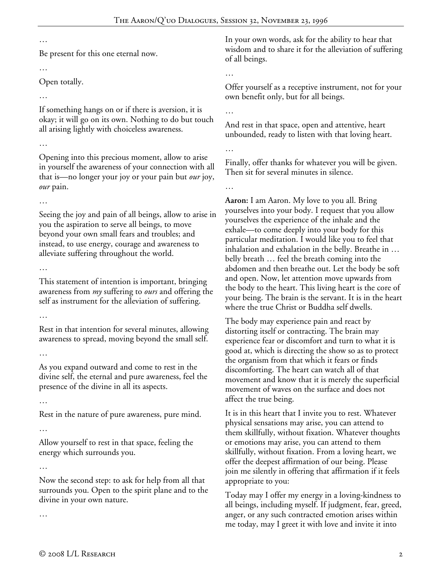…

Be present for this one eternal now.

…

Open totally.

…

…

If something hangs on or if there is aversion, it is okay; it will go on its own. Nothing to do but touch all arising lightly with choiceless awareness.

Opening into this precious moment, allow to arise in yourself the awareness of your connection with all that is—no longer your joy or your pain but *our* joy, *our* pain.

… Seeing the joy and pain of all beings, allow to arise in you the aspiration to serve all beings, to move beyond your own small fears and troubles; and instead, to use energy, courage and awareness to alleviate suffering throughout the world.

…

This statement of intention is important, bringing awareness from *my* suffering to *ours* and offering the self as instrument for the alleviation of suffering.

…

Rest in that intention for several minutes, allowing awareness to spread, moving beyond the small self.

…

As you expand outward and come to rest in the divine self, the eternal and pure awareness, feel the presence of the divine in all its aspects.

…

Rest in the nature of pure awareness, pure mind.

…

Allow yourself to rest in that space, feeling the energy which surrounds you.

…

Now the second step: to ask for help from all that surrounds you. Open to the spirit plane and to the divine in your own nature.

…

In your own words, ask for the ability to hear that wisdom and to share it for the alleviation of suffering of all beings.

…

…

Offer yourself as a receptive instrument, not for your own benefit only, but for all beings.

And rest in that space, open and attentive, heart unbounded, ready to listen with that loving heart.

…

Finally, offer thanks for whatever you will be given. Then sit for several minutes in silence.

…

**Aaron:** I am Aaron. My love to you all. Bring yourselves into your body. I request that you allow yourselves the experience of the inhale and the exhale—to come deeply into your body for this particular meditation. I would like you to feel that inhalation and exhalation in the belly. Breathe in … belly breath … feel the breath coming into the abdomen and then breathe out. Let the body be soft and open. Now, let attention move upwards from the body to the heart. This living heart is the core of your being. The brain is the servant. It is in the heart where the true Christ or Buddha self dwells.

The body may experience pain and react by distorting itself or contracting. The brain may experience fear or discomfort and turn to what it is good at, which is directing the show so as to protect the organism from that which it fears or finds discomforting. The heart can watch all of that movement and know that it is merely the superficial movement of waves on the surface and does not affect the true being.

It is in this heart that I invite you to rest. Whatever physical sensations may arise, you can attend to them skillfully, without fixation. Whatever thoughts or emotions may arise, you can attend to them skillfully, without fixation. From a loving heart, we offer the deepest affirmation of our being. Please join me silently in offering that affirmation if it feels appropriate to you:

Today may I offer my energy in a loving-kindness to all beings, including myself. If judgment, fear, greed, anger, or any such contracted emotion arises within me today, may I greet it with love and invite it into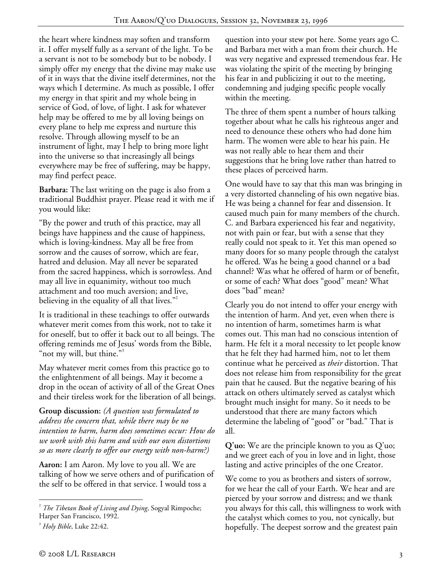the heart where kindness may soften and transform it. I offer myself fully as a servant of the light. To be a servant is not to be somebody but to be nobody. I simply offer my energy that the divine may make use of it in ways that the divine itself determines, not the ways which I determine. As much as possible, I offer my energy in that spirit and my whole being in service of God, of love, of light. I ask for whatever help may be offered to me by all loving beings on every plane to help me express and nurture this resolve. Through allowing myself to be an instrument of light, may I help to bring more light into the universe so that increasingly all beings everywhere may be free of suffering, may be happy, may find perfect peace.

**Barbara:** The last writing on the page is also from a traditional Buddhist prayer. Please read it with me if you would like:

"By the power and truth of this practice, may all beings have happiness and the cause of happiness, which is loving-kindness. May all be free from sorrow and the causes of sorrow, which are fear, hatred and delusion. May all never be separated from the sacred happiness, which is sorrowless. And may all live in equanimity, without too much attachment and too much aversion; and live, believing in the equality of all that lives."<sup>2</sup>

It is traditional in these teachings to offer outwards whatever merit comes from this work, not to take it for oneself, but to offer it back out to all beings. The offering reminds me of Jesus' words from the Bible, "not my will, but thine."<sup>3</sup>

May whatever merit comes from this practice go to the enlightenment of all beings. May it become a drop in the ocean of activity of all of the Great Ones and their tireless work for the liberation of all beings.

**Group discussion:** *(A question was formulated to address the concern that, while there may be no intention to harm, harm does sometimes occur: How do we work with this harm and with our own distortions so as more clearly to offer our energy with non-harm?)*

**Aaron:** I am Aaron. My love to you all. We are talking of how we serve others and of purification of the self to be offered in that service. I would toss a

question into your stew pot here. Some years ago C. and Barbara met with a man from their church. He was very negative and expressed tremendous fear. He was violating the spirit of the meeting by bringing his fear in and publicizing it out to the meeting, condemning and judging specific people vocally within the meeting.

The three of them spent a number of hours talking together about what he calls his righteous anger and need to denounce these others who had done him harm. The women were able to hear his pain. He was not really able to hear them and their suggestions that he bring love rather than hatred to these places of perceived harm.

One would have to say that this man was bringing in a very distorted channeling of his own negative bias. He was being a channel for fear and dissension. It caused much pain for many members of the church. C. and Barbara experienced his fear and negativity, not with pain or fear, but with a sense that they really could not speak to it. Yet this man opened so many doors for so many people through the catalyst he offered. Was he being a good channel or a bad channel? Was what he offered of harm or of benefit, or some of each? What does "good" mean? What does "bad" mean?

Clearly you do not intend to offer your energy with the intention of harm. And yet, even when there is no intention of harm, sometimes harm is what comes out. This man had no conscious intention of harm. He felt it a moral necessity to let people know that he felt they had harmed him, not to let them continue what he perceived as *their* distortion. That does not release him from responsibility for the great pain that he caused. But the negative bearing of his attack on others ultimately served as catalyst which brought much insight for many. So it needs to be understood that there are many factors which determine the labeling of "good" or "bad." That is all.

**Q'uo:** We are the principle known to you as Q'uo; and we greet each of you in love and in light, those lasting and active principles of the one Creator.

We come to you as brothers and sisters of sorrow, for we hear the call of your Earth. We hear and are pierced by your sorrow and distress; and we thank you always for this call, this willingness to work with the catalyst which comes to you, not cynically, but hopefully. The deepest sorrow and the greatest pain

l <sup>2</sup> *The Tibetan Book of Living and Dying*, Sogyal Rimpoche; Harper San Francisco, 1992.

<sup>3</sup> *Holy Bible*, Luke 22:42.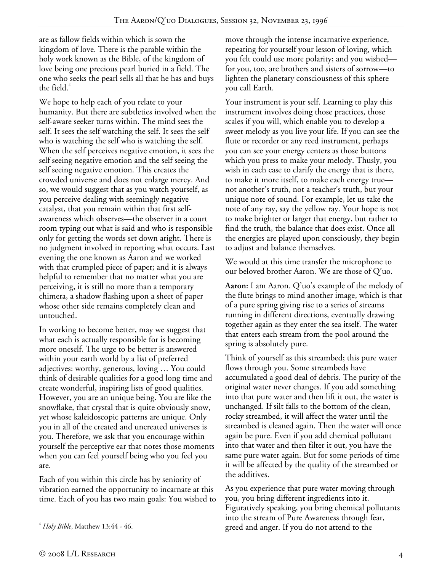are as fallow fields within which is sown the kingdom of love. There is the parable within the holy work known as the Bible, of the kingdom of love being one precious pearl buried in a field. The one who seeks the pearl sells all that he has and buys the field.<sup>4</sup>

We hope to help each of you relate to your humanity. But there are subtleties involved when the self-aware seeker turns within. The mind sees the self. It sees the self watching the self. It sees the self who is watching the self who is watching the self. When the self perceives negative emotion, it sees the self seeing negative emotion and the self seeing the self seeing negative emotion. This creates the crowded universe and does not enlarge mercy. And so, we would suggest that as you watch yourself, as you perceive dealing with seemingly negative catalyst, that you remain within that first selfawareness which observes—the observer in a court room typing out what is said and who is responsible only for getting the words set down aright. There is no judgment involved in reporting what occurs. Last evening the one known as Aaron and we worked with that crumpled piece of paper; and it is always helpful to remember that no matter what you are perceiving, it is still no more than a temporary chimera, a shadow flashing upon a sheet of paper whose other side remains completely clean and untouched.

In working to become better, may we suggest that what each is actually responsible for is becoming more oneself. The urge to be better is answered within your earth world by a list of preferred adjectives: worthy, generous, loving … You could think of desirable qualities for a good long time and create wonderful, inspiring lists of good qualities. However, you are an unique being. You are like the snowflake, that crystal that is quite obviously snow, yet whose kaleidoscopic patterns are unique. Only you in all of the created and uncreated universes is you. Therefore, we ask that you encourage within yourself the perceptive ear that notes those moments when you can feel yourself being who you feel you are.

Each of you within this circle has by seniority of vibration earned the opportunity to incarnate at this time. Each of you has two main goals: You wished to

move through the intense incarnative experience, repeating for yourself your lesson of loving, which you felt could use more polarity; and you wished for you, too, are brothers and sisters of sorrow—to lighten the planetary consciousness of this sphere you call Earth.

Your instrument is your self. Learning to play this instrument involves doing those practices, those scales if you will, which enable you to develop a sweet melody as you live your life. If you can see the flute or recorder or any reed instrument, perhaps you can see your energy centers as those buttons which you press to make your melody. Thusly, you wish in each case to clarify the energy that is there, to make it more itself, to make each energy true not another's truth, not a teacher's truth, but your unique note of sound. For example, let us take the note of any ray, say the yellow ray. Your hope is not to make brighter or larger that energy, but rather to find the truth, the balance that does exist. Once all the energies are played upon consciously, they begin to adjust and balance themselves.

We would at this time transfer the microphone to our beloved brother Aaron. We are those of Q'uo.

**Aaron:** I am Aaron. Q'uo's example of the melody of the flute brings to mind another image, which is that of a pure spring giving rise to a series of streams running in different directions, eventually drawing together again as they enter the sea itself. The water that enters each stream from the pool around the spring is absolutely pure.

Think of yourself as this streambed; this pure water flows through you. Some streambeds have accumulated a good deal of debris. The purity of the original water never changes. If you add something into that pure water and then lift it out, the water is unchanged. If silt falls to the bottom of the clean, rocky streambed, it will affect the water until the streambed is cleaned again. Then the water will once again be pure. Even if you add chemical pollutant into that water and then filter it out, you have the same pure water again. But for some periods of time it will be affected by the quality of the streambed or the additives.

As you experience that pure water moving through you, you bring different ingredients into it. Figuratively speaking, you bring chemical pollutants into the stream of Pure Awareness through fear, greed and anger. If you do not attend to the

 $\overline{a}$ <sup>4</sup> *Holy Bible*, Matthew 13:44 - 46.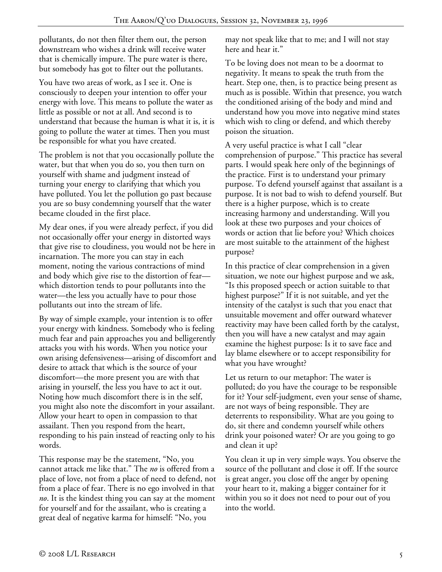pollutants, do not then filter them out, the person downstream who wishes a drink will receive water that is chemically impure. The pure water is there, but somebody has got to filter out the pollutants.

You have two areas of work, as I see it. One is consciously to deepen your intention to offer your energy with love. This means to pollute the water as little as possible or not at all. And second is to understand that because the human is what it is, it is going to pollute the water at times. Then you must be responsible for what you have created.

The problem is not that you occasionally pollute the water, but that when you do so, you then turn on yourself with shame and judgment instead of turning your energy to clarifying that which you have polluted. You let the pollution go past because you are so busy condemning yourself that the water became clouded in the first place.

My dear ones, if you were already perfect, if you did not occasionally offer your energy in distorted ways that give rise to cloudiness, you would not be here in incarnation. The more you can stay in each moment, noting the various contractions of mind and body which give rise to the distortion of fear which distortion tends to pour pollutants into the water—the less you actually have to pour those pollutants out into the stream of life.

By way of simple example, your intention is to offer your energy with kindness. Somebody who is feeling much fear and pain approaches you and belligerently attacks you with his words. When you notice your own arising defensiveness—arising of discomfort and desire to attack that which is the source of your discomfort—the more present you are with that arising in yourself, the less you have to act it out. Noting how much discomfort there is in the self, you might also note the discomfort in your assailant. Allow your heart to open in compassion to that assailant. Then you respond from the heart, responding to his pain instead of reacting only to his words.

This response may be the statement, "No, you cannot attack me like that." The *no* is offered from a place of love, not from a place of need to defend, not from a place of fear. There is no ego involved in that *no*. It is the kindest thing you can say at the moment for yourself and for the assailant, who is creating a great deal of negative karma for himself: "No, you

may not speak like that to me; and I will not stay here and hear it."

To be loving does not mean to be a doormat to negativity. It means to speak the truth from the heart. Step one, then, is to practice being present as much as is possible. Within that presence, you watch the conditioned arising of the body and mind and understand how you move into negative mind states which wish to cling or defend, and which thereby poison the situation.

A very useful practice is what I call "clear comprehension of purpose." This practice has several parts. I would speak here only of the beginnings of the practice. First is to understand your primary purpose. To defend yourself against that assailant is a purpose. It is not bad to wish to defend yourself. But there is a higher purpose, which is to create increasing harmony and understanding. Will you look at these two purposes and your choices of words or action that lie before you? Which choices are most suitable to the attainment of the highest purpose?

In this practice of clear comprehension in a given situation, we note our highest purpose and we ask, "Is this proposed speech or action suitable to that highest purpose?" If it is not suitable, and yet the intensity of the catalyst is such that you enact that unsuitable movement and offer outward whatever reactivity may have been called forth by the catalyst, then you will have a new catalyst and may again examine the highest purpose: Is it to save face and lay blame elsewhere or to accept responsibility for what you have wrought?

Let us return to our metaphor: The water is polluted; do you have the courage to be responsible for it? Your self-judgment, even your sense of shame, are not ways of being responsible. They are deterrents to responsibility. What are you going to do, sit there and condemn yourself while others drink your poisoned water? Or are you going to go and clean it up?

You clean it up in very simple ways. You observe the source of the pollutant and close it off. If the source is great anger, you close off the anger by opening your heart to it, making a bigger container for it within you so it does not need to pour out of you into the world.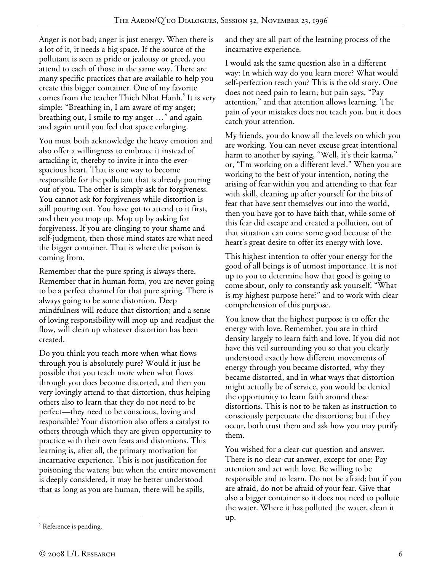Anger is not bad; anger is just energy. When there is a lot of it, it needs a big space. If the source of the pollutant is seen as pride or jealousy or greed, you attend to each of those in the same way. There are many specific practices that are available to help you create this bigger container. One of my favorite comes from the teacher Thich Nhat Hanh.<sup>5</sup> It is very simple: "Breathing in, I am aware of my anger; breathing out, I smile to my anger …" and again and again until you feel that space enlarging.

You must both acknowledge the heavy emotion and also offer a willingness to embrace it instead of attacking it, thereby to invite it into the everspacious heart. That is one way to become responsible for the pollutant that is already pouring out of you. The other is simply ask for forgiveness. You cannot ask for forgiveness while distortion is still pouring out. You have got to attend to it first, and then you mop up. Mop up by asking for forgiveness. If you are clinging to your shame and self-judgment, then those mind states are what need the bigger container. That is where the poison is coming from.

Remember that the pure spring is always there. Remember that in human form, you are never going to be a perfect channel for that pure spring. There is always going to be some distortion. Deep mindfulness will reduce that distortion; and a sense of loving responsibility will mop up and readjust the flow, will clean up whatever distortion has been created.

Do you think you teach more when what flows through you is absolutely pure? Would it just be possible that you teach more when what flows through you does become distorted, and then you very lovingly attend to that distortion, thus helping others also to learn that they do not need to be perfect—they need to be conscious, loving and responsible? Your distortion also offers a catalyst to others through which they are given opportunity to practice with their own fears and distortions. This learning is, after all, the primary motivation for incarnative experience. This is not justification for poisoning the waters; but when the entire movement is deeply considered, it may be better understood that as long as you are human, there will be spills,

and they are all part of the learning process of the incarnative experience.

I would ask the same question also in a different way: In which way do you learn more? What would self-perfection teach you? This is the old story. One does not need pain to learn; but pain says, "Pay attention," and that attention allows learning. The pain of your mistakes does not teach you, but it does catch your attention.

My friends, you do know all the levels on which you are working. You can never excuse great intentional harm to another by saying, "Well, it's their karma," or, "I'm working on a different level." When you are working to the best of your intention, noting the arising of fear within you and attending to that fear with skill, cleaning up after yourself for the bits of fear that have sent themselves out into the world, then you have got to have faith that, while some of this fear did escape and created a pollution, out of that situation can come some good because of the heart's great desire to offer its energy with love.

This highest intention to offer your energy for the good of all beings is of utmost importance. It is not up to you to determine how that good is going to come about, only to constantly ask yourself, "What is my highest purpose here?" and to work with clear comprehension of this purpose.

You know that the highest purpose is to offer the energy with love. Remember, you are in third density largely to learn faith and love. If you did not have this veil surrounding you so that you clearly understood exactly how different movements of energy through you became distorted, why they became distorted, and in what ways that distortion might actually be of service, you would be denied the opportunity to learn faith around these distortions. This is not to be taken as instruction to consciously perpetuate the distortions; but if they occur, both trust them and ask how you may purify them.

You wished for a clear-cut question and answer. There is no clear-cut answer, except for one: Pay attention and act with love. Be willing to be responsible and to learn. Do not be afraid; but if you are afraid, do not be afraid of your fear. Give that also a bigger container so it does not need to pollute the water. Where it has polluted the water, clean it up.

 $\overline{a}$ <sup>5</sup> Reference is pending.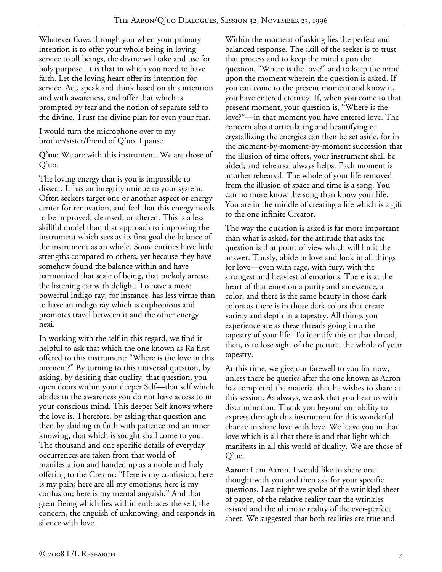Whatever flows through you when your primary intention is to offer your whole being in loving service to all beings, the divine will take and use for holy purpose. It is that in which you need to have faith. Let the loving heart offer its intention for service. Act, speak and think based on this intention and with awareness, and offer that which is prompted by fear and the notion of separate self to the divine. Trust the divine plan for even your fear.

I would turn the microphone over to my brother/sister/friend of Q'uo. I pause.

**Q'uo:** We are with this instrument. We are those of Q'uo.

The loving energy that is you is impossible to dissect. It has an integrity unique to your system. Often seekers target one or another aspect or energy center for renovation, and feel that this energy needs to be improved, cleansed, or altered. This is a less skillful model than that approach to improving the instrument which sees as its first goal the balance of the instrument as an whole. Some entities have little strengths compared to others, yet because they have somehow found the balance within and have harmonized that scale of being, that melody arrests the listening ear with delight. To have a more powerful indigo ray, for instance, has less virtue than to have an indigo ray which is euphonious and promotes travel between it and the other energy nexi.

In working with the self in this regard, we find it helpful to ask that which the one known as Ra first offered to this instrument: "Where is the love in this moment?" By turning to this universal question, by asking, by desiring that quality, that question, you open doors within your deeper Self—that self which abides in the awareness you do not have access to in your conscious mind. This deeper Self knows where the love is. Therefore, by asking that question and then by abiding in faith with patience and an inner knowing, that which is sought shall come to you. The thousand and one specific details of everyday occurrences are taken from that world of manifestation and handed up as a noble and holy offering to the Creator: "Here is my confusion; here is my pain; here are all my emotions; here is my confusion; here is my mental anguish." And that great Being which lies within embraces the self, the concern, the anguish of unknowing, and responds in silence with love.

Within the moment of asking lies the perfect and balanced response. The skill of the seeker is to trust that process and to keep the mind upon the question, "Where is the love?" and to keep the mind upon the moment wherein the question is asked. If you can come to the present moment and know it, you have entered eternity. If, when you come to that present moment, your question is, "Where is the love?"—in that moment you have entered love. The concern about articulating and beautifying or crystallizing the energies can then be set aside, for in the moment-by-moment-by-moment succession that the illusion of time offers, your instrument shall be aided; and rehearsal always helps. Each moment is another rehearsal. The whole of your life removed from the illusion of space and time is a song. You can no more know the song than know your life. You are in the middle of creating a life which is a gift to the one infinite Creator.

The way the question is asked is far more important than what is asked, for the attitude that asks the question is that point of view which will limit the answer. Thusly, abide in love and look in all things for love—even with rage, with fury, with the strongest and heaviest of emotions. There is at the heart of that emotion a purity and an essence, a color; and there is the same beauty in those dark colors as there is in those dark colors that create variety and depth in a tapestry. All things you experience are as these threads going into the tapestry of your life. To identify this or that thread, then, is to lose sight of the picture, the whole of your tapestry.

At this time, we give our farewell to you for now, unless there be queries after the one known as Aaron has completed the material that he wishes to share at this session. As always, we ask that you hear us with discrimination. Thank you beyond our ability to express through this instrument for this wonderful chance to share love with love. We leave you in that love which is all that there is and that light which manifests in all this world of duality. We are those of Q'uo.

**Aaron:** I am Aaron. I would like to share one thought with you and then ask for your specific questions. Last night we spoke of the wrinkled sheet of paper, of the relative reality that the wrinkles existed and the ultimate reality of the ever-perfect sheet. We suggested that both realities are true and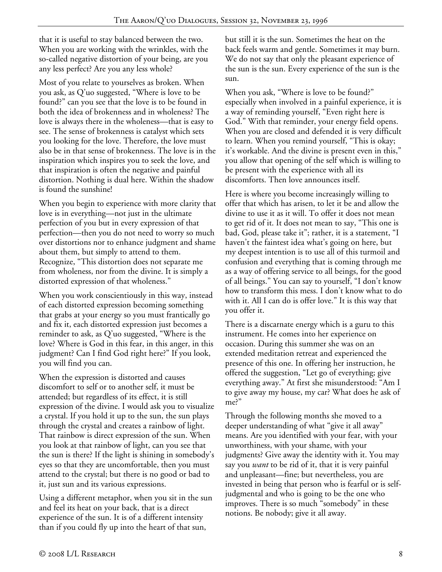that it is useful to stay balanced between the two. When you are working with the wrinkles, with the so-called negative distortion of your being, are you any less perfect? Are you any less whole?

Most of you relate to yourselves as broken. When you ask, as Q'uo suggested, "Where is love to be found?" can you see that the love is to be found in both the idea of brokenness and in wholeness? The love is always there in the wholeness—that is easy to see. The sense of brokenness is catalyst which sets you looking for the love. Therefore, the love must also be in that sense of brokenness. The love is in the inspiration which inspires you to seek the love, and that inspiration is often the negative and painful distortion. Nothing is dual here. Within the shadow is found the sunshine!

When you begin to experience with more clarity that love is in everything—not just in the ultimate perfection of you but in every expression of that perfection—then you do not need to worry so much over distortions nor to enhance judgment and shame about them, but simply to attend to them. Recognize, "This distortion does not separate me from wholeness, nor from the divine. It is simply a distorted expression of that wholeness."

When you work conscientiously in this way, instead of each distorted expression becoming something that grabs at your energy so you must frantically go and fix it, each distorted expression just becomes a reminder to ask, as Q'uo suggested, "Where is the love? Where is God in this fear, in this anger, in this judgment? Can I find God right here?" If you look, you will find you can.

When the expression is distorted and causes discomfort to self or to another self, it must be attended; but regardless of its effect, it is still expression of the divine. I would ask you to visualize a crystal. If you hold it up to the sun, the sun plays through the crystal and creates a rainbow of light. That rainbow is direct expression of the sun. When you look at that rainbow of light, can you see that the sun is there? If the light is shining in somebody's eyes so that they are uncomfortable, then you must attend to the crystal; but there is no good or bad to it, just sun and its various expressions.

Using a different metaphor, when you sit in the sun and feel its heat on your back, that is a direct experience of the sun. It is of a different intensity than if you could fly up into the heart of that sun,

but still it is the sun. Sometimes the heat on the back feels warm and gentle. Sometimes it may burn. We do not say that only the pleasant experience of the sun is the sun. Every experience of the sun is the sun.

When you ask, "Where is love to be found?" especially when involved in a painful experience, it is a way of reminding yourself, "Even right here is God." With that reminder, your energy field opens. When you are closed and defended it is very difficult to learn. When you remind yourself, "This is okay; it's workable. And the divine is present even in this," you allow that opening of the self which is willing to be present with the experience with all its discomforts. Then love announces itself.

Here is where you become increasingly willing to offer that which has arisen, to let it be and allow the divine to use it as it will. To offer it does not mean to get rid of it. It does not mean to say, "This one is bad, God, please take it"; rather, it is a statement, "I haven't the faintest idea what's going on here, but my deepest intention is to use all of this turmoil and confusion and everything that is coming through me as a way of offering service to all beings, for the good of all beings." You can say to yourself, "I don't know how to transform this mess. I don't know what to do with it. All I can do is offer love." It is this way that you offer it.

There is a discarnate energy which is a guru to this instrument. He comes into her experience on occasion. During this summer she was on an extended meditation retreat and experienced the presence of this one. In offering her instruction, he offered the suggestion, "Let go of everything; give everything away." At first she misunderstood: "Am I to give away my house, my car? What does he ask of me?"

Through the following months she moved to a deeper understanding of what "give it all away" means. Are you identified with your fear, with your unworthiness, with your shame, with your judgments? Give away the identity with it. You may say you *want* to be rid of it, that it is very painful and unpleasant—fine; but nevertheless, you are invested in being that person who is fearful or is selfjudgmental and who is going to be the one who improves. There is so much "somebody" in these notions. Be nobody; give it all away.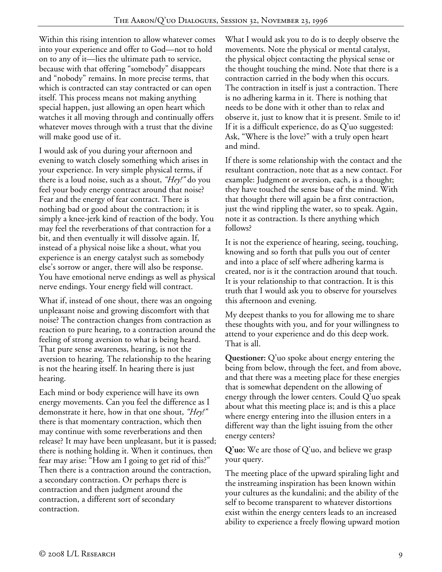Within this rising intention to allow whatever comes into your experience and offer to God—not to hold on to any of it—lies the ultimate path to service, because with that offering "somebody" disappears and "nobody" remains. In more precise terms, that which is contracted can stay contracted or can open itself. This process means not making anything special happen, just allowing an open heart which watches it all moving through and continually offers whatever moves through with a trust that the divine will make good use of it.

I would ask of you during your afternoon and evening to watch closely something which arises in your experience. In very simple physical terms, if there is a loud noise, such as a shout, *"Hey!"* do you feel your body energy contract around that noise? Fear and the energy of fear contract. There is nothing bad or good about the contraction; it is simply a knee-jerk kind of reaction of the body. You may feel the reverberations of that contraction for a bit, and then eventually it will dissolve again. If, instead of a physical noise like a shout, what you experience is an energy catalyst such as somebody else's sorrow or anger, there will also be response. You have emotional nerve endings as well as physical nerve endings. Your energy field will contract.

What if, instead of one shout, there was an ongoing unpleasant noise and growing discomfort with that noise? The contraction changes from contraction as reaction to pure hearing, to a contraction around the feeling of strong aversion to what is being heard. That pure sense awareness, hearing, is not the aversion to hearing. The relationship to the hearing is not the hearing itself. In hearing there is just hearing.

Each mind or body experience will have its own energy movements. Can you feel the difference as I demonstrate it here, how in that one shout, *"Hey!"*  there is that momentary contraction, which then may continue with some reverberations and then release? It may have been unpleasant, but it is passed; there is nothing holding it. When it continues, then fear may arise: "How am I going to get rid of this?" Then there is a contraction around the contraction, a secondary contraction. Or perhaps there is contraction and then judgment around the contraction, a different sort of secondary contraction.

What I would ask you to do is to deeply observe the movements. Note the physical or mental catalyst, the physical object contacting the physical sense or the thought touching the mind. Note that there is a contraction carried in the body when this occurs. The contraction in itself is just a contraction. There is no adhering karma in it. There is nothing that needs to be done with it other than to relax and observe it, just to know that it is present. Smile to it! If it is a difficult experience, do as Q'uo suggested: Ask, "Where is the love?" with a truly open heart and mind.

If there is some relationship with the contact and the resultant contraction, note that as a new contact. For example: Judgment or aversion, each, is a thought; they have touched the sense base of the mind. With that thought there will again be a first contraction, just the wind rippling the water, so to speak. Again, note it as contraction. Is there anything which follows?

It is not the experience of hearing, seeing, touching, knowing and so forth that pulls you out of center and into a place of self where adhering karma is created, nor is it the contraction around that touch. It is your relationship to that contraction. It is this truth that I would ask you to observe for yourselves this afternoon and evening.

My deepest thanks to you for allowing me to share these thoughts with you, and for your willingness to attend to your experience and do this deep work. That is all.

**Questioner:** Q'uo spoke about energy entering the being from below, through the feet, and from above, and that there was a meeting place for these energies that is somewhat dependent on the allowing of energy through the lower centers. Could Q'uo speak about what this meeting place is; and is this a place where energy entering into the illusion enters in a different way than the light issuing from the other energy centers?

**Q'uo:** We are those of Q'uo, and believe we grasp your query.

The meeting place of the upward spiraling light and the instreaming inspiration has been known within your cultures as the kundalini; and the ability of the self to become transparent to whatever distortions exist within the energy centers leads to an increased ability to experience a freely flowing upward motion